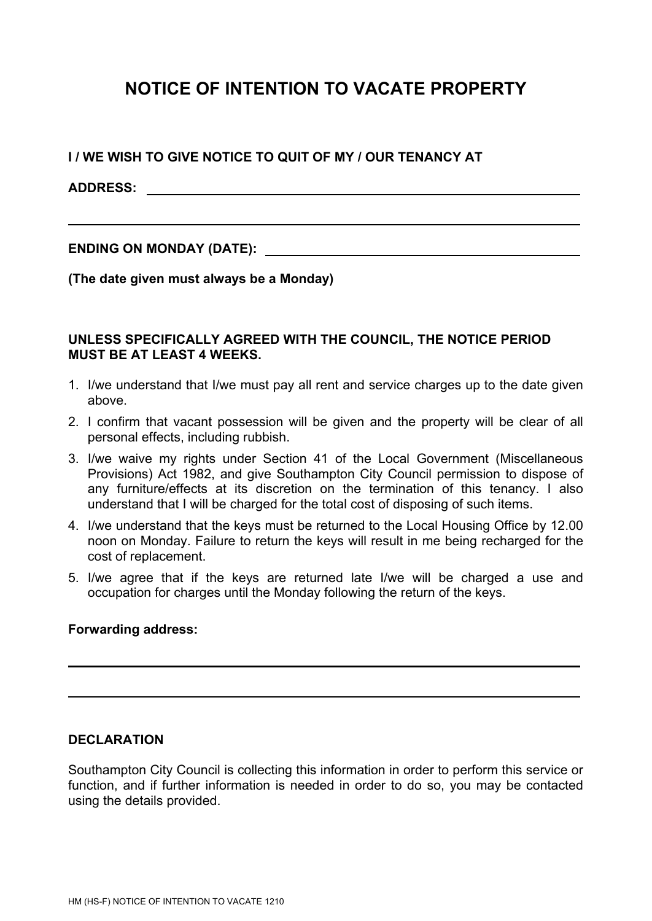## **NOTICE OF INTENTION TO VACATE PROPERTY**

**I / WE WISH TO GIVE NOTICE TO QUIT OF MY / OUR TENANCY AT**

**ADDRESS:**

**ENDING ON MONDAY (DATE):** 

**(The date given must always be a Monday)**

## **UNLESS SPECIFICALLY AGREED WITH THE COUNCIL, THE NOTICE PERIOD MUST BE AT LEAST 4 WEEKS.**

- 1. I/we understand that I/we must pay all rent and service charges up to the date given above.
- 2. I confirm that vacant possession will be given and the property will be clear of all personal effects, including rubbish.
- 3. I/we waive my rights under Section 41 of the Local Government (Miscellaneous Provisions) Act 1982, and give Southampton City Council permission to dispose of any furniture/effects at its discretion on the termination of this tenancy. I also understand that I will be charged for the total cost of disposing of such items.
- 4. I/we understand that the keys must be returned to the Local Housing Office by 12.00 noon on Monday. Failure to return the keys will result in me being recharged for the cost of replacement.
- 5. I/we agree that if the keys are returned late I/we will be charged a use and occupation for charges until the Monday following the return of the keys.

## **Forwarding address:**

## **DECLARATION**

Southampton City Council is collecting this information in order to perform this service or function, and if further information is needed in order to do so, you may be contacted using the details provided.